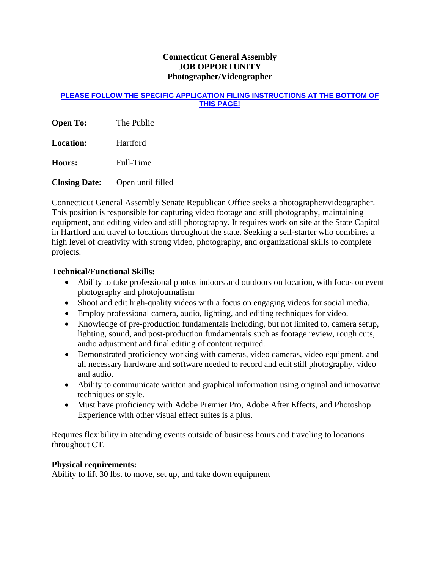## **Connecticut General Assembly JOB OPPORTUNITY Photographer/Videographer**

#### **PLEASE FOLLOW THE SPECIFIC APPLICATION FILING INSTRUCTIONS AT THE BOTTOM OF THIS PAGE!**

**Open To:** The Public

**Location:** Hartford

**Hours:** Full-Time

**Closing Date:** Open until filled

Connecticut General Assembly Senate Republican Office seeks a photographer/videographer. This position is responsible for capturing video footage and still photography, maintaining equipment, and editing video and still photography. It requires work on site at the State Capitol in Hartford and travel to locations throughout the state. Seeking a self-starter who combines a high level of creativity with strong video, photography, and organizational skills to complete projects.

# **Technical/Functional Skills:**

- Ability to take professional photos indoors and outdoors on location, with focus on event photography and photojournalism
- Shoot and edit high-quality videos with a focus on engaging videos for social media.
- Employ professional camera, audio, lighting, and editing techniques for video.
- Knowledge of pre-production fundamentals including, but not limited to, camera setup, lighting, sound, and post-production fundamentals such as footage review, rough cuts, audio adjustment and final editing of content required.
- Demonstrated proficiency working with cameras, video cameras, video equipment, and all necessary hardware and software needed to record and edit still photography, video and audio.
- Ability to communicate written and graphical information using original and innovative techniques or style.
- Must have proficiency with Adobe Premier Pro, Adobe After Effects, and Photoshop. Experience with other visual effect suites is a plus.

Requires flexibility in attending events outside of business hours and traveling to locations throughout CT.

## **Physical requirements:**

Ability to lift 30 lbs. to move, set up, and take down equipment